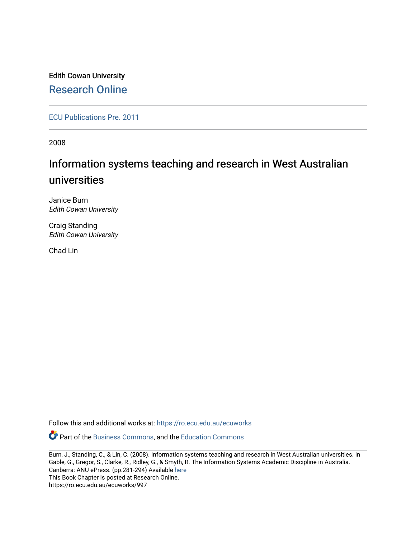Edith Cowan University [Research Online](https://ro.ecu.edu.au/) 

[ECU Publications Pre. 2011](https://ro.ecu.edu.au/ecuworks)

2008

# Information systems teaching and research in West Australian universities

Janice Burn Edith Cowan University

Craig Standing Edith Cowan University

Chad Lin

Follow this and additional works at: [https://ro.ecu.edu.au/ecuworks](https://ro.ecu.edu.au/ecuworks?utm_source=ro.ecu.edu.au%2Fecuworks%2F997&utm_medium=PDF&utm_campaign=PDFCoverPages) 

**P** Part of the [Business Commons](http://network.bepress.com/hgg/discipline/622?utm_source=ro.ecu.edu.au%2Fecuworks%2F997&utm_medium=PDF&utm_campaign=PDFCoverPages), and the [Education Commons](http://network.bepress.com/hgg/discipline/784?utm_source=ro.ecu.edu.au%2Fecuworks%2F997&utm_medium=PDF&utm_campaign=PDFCoverPages)

Burn, J., Standing, C., & Lin, C. (2008). Information systems teaching and research in West Australian universities. In Gable, G., Gregor, S., Clarke, R., Ridley, G., & Smyth, R. The Information Systems Academic Discipline in Australia. Canberra: ANU ePress. (pp.281-294) Available [here](http://epress.anu.edu.au/info_systems_aus/pdf_instructions.html)  This Book Chapter is posted at Research Online. https://ro.ecu.edu.au/ecuworks/997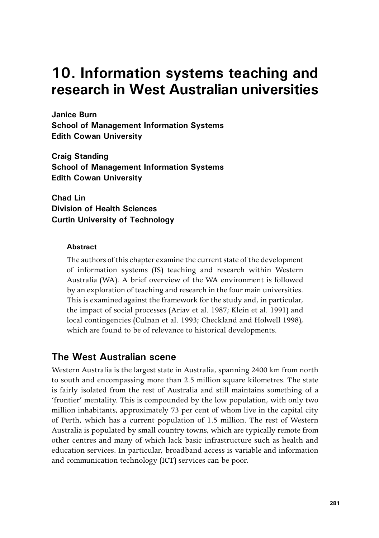# **10. Information systems teaching and research in West Australian universities**

**Janice Burn School of Management Information Systems Edith Cowan University**

**Craig Standing School of Management Information Systems Edith Cowan University**

**Chad Lin Division of Health Sciences Curtin University of Technology**

#### **Abstract**

The authors of this chapter examine the current state of the development of information systems (IS) teaching and research within Western Australia (WA). A brief overview of the WA environment is followed by an exploration of teaching and research in the four main universities. This is examined against the framework for the study and, in particular, the impact of social processes (Ariav et al. 1987; Klein et al. 1991) and local contingencies (Culnan et al. 1993; Checkland and Holwell 1998), which are found to be of relevance to historical developments.

#### **The West Australian scene**

Western Australia is the largest state in Australia, spanning 2400 km from north to south and encompassing more than 2.5 million square kilometres. The state is fairly isolated from the rest of Australia and still maintains something of a 'frontier' mentality. This is compounded by the low population, with only two million inhabitants, approximately 73 per cent of whom live in the capital city of Perth, which has a current population of 1.5 million. The rest of Western Australia is populated by small country towns, which are typically remote from other centres and many of which lack basic infrastructure such as health and education services. In particular, broadband access is variable and information and communication technology (ICT) services can be poor.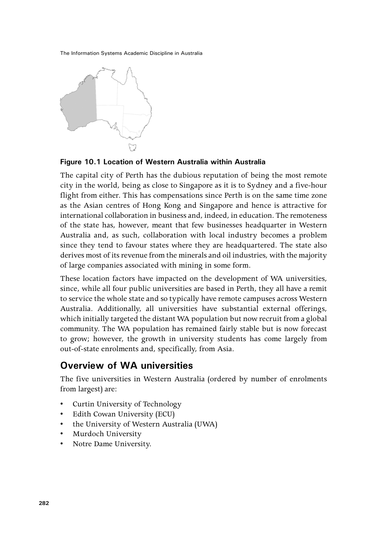

#### **Figure 10.1 Location of Western Australia within Australia**

The capital city of Perth has the dubious reputation of being the most remote city in the world, being as close to Singapore as it is to Sydney and a five-hour flight from either. This has compensations since Perth is on the same time zone as the Asian centres of Hong Kong and Singapore and hence is attractive for international collaboration in business and, indeed, in education. The remoteness of the state has, however, meant that few businesses headquarter in Western Australia and, as such, collaboration with local industry becomes a problem since they tend to favour states where they are headquartered. The state also derives most of its revenue from the minerals and oil industries, with the majority of large companies associated with mining in some form.

These location factors have impacted on the development of WA universities, since, while all four public universities are based in Perth, they all have a remit to service the whole state and so typically have remote campuses across Western Australia. Additionally, all universities have substantial external offerings, which initially targeted the distant WA population but now recruit from a global community. The WA population has remained fairly stable but is now forecast to grow; however, the growth in university students has come largely from out-of-state enrolments and, specifically, from Asia.

#### **Overview of WA universities**

The five universities in Western Australia (ordered by number of enrolments from largest) are:

- Curtin University of Technology
- Edith Cowan University (ECU)
- the University of Western Australia (UWA)
- Murdoch University
- Notre Dame University.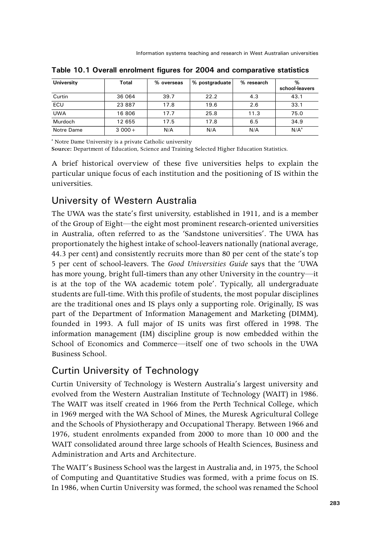| <b>University</b> | Total    | % overseas | % postgraduate | % research | %<br>school-leavers |
|-------------------|----------|------------|----------------|------------|---------------------|
| Curtin            | 36 064   | 39.7       | 22.2           | 4.3        | 43.1                |
| ECU               | 23 887   | 17.8       | 19.6           | 2.6        | 33.1                |
| <b>UWA</b>        | 16 806   | 17.7       | 25.8           | 11.3       | 75.0                |
| Murdoch           | 12 655   | 17.5       | 17.8           | 6.5        | 34.9                |
| Notre Dame        | $3000 +$ | N/A        | N/A            | N/A        | $N/A^a$             |

**Table 10.1 Overall enrolment figures for 2004 and comparative statistics**

a Notre Dame University is a private Catholic university

**Source:** Department of Education, Science and Training Selected Higher Education Statistics.

A brief historical overview of these five universities helps to explain the particular unique focus of each institution and the positioning of IS within the universities.

#### University of Western Australia

The UWA was the state's first university, established in 1911, and is a member of the Group of Eight—the eight most prominent research-oriented universities in Australia, often referred to as the 'Sandstone universities'. The UWA has proportionately the highest intake of school-leavers nationally (national average, 44.3 per cent) and consistently recruits more than 80 per cent of the state's top 5 per cent of school-leavers. The *Good Universities Guide* says that the 'UWA has more young, bright full-timers than any other University in the country—it is at the top of the WA academic totem pole'. Typically, all undergraduate students are full-time. With this profile of students, the most popular disciplines are the traditional ones and IS plays only a supporting role. Originally, IS was part of the Department of Information Management and Marketing (DIMM), founded in 1993. A full major of IS units was first offered in 1998. The information management (IM) discipline group is now embedded within the School of Economics and Commerce—itself one of two schools in the UWA Business School.

#### Curtin University of Technology

Curtin University of Technology is Western Australia's largest university and evolved from the Western Australian Institute of Technology (WAIT) in 1986. The WAIT was itself created in 1966 from the Perth Technical College, which in 1969 merged with the WA School of Mines, the Muresk Agricultural College and the Schools of Physiotherapy and Occupational Therapy. Between 1966 and 1976, student enrolments expanded from 2000 to more than 10 000 and the WAIT consolidated around three large schools of Health Sciences, Business and Administration and Arts and Architecture.

The WAIT's Business School was the largest in Australia and, in 1975, the School of Computing and Quantitative Studies was formed, with a prime focus on IS. In 1986, when Curtin University was formed, the school was renamed the School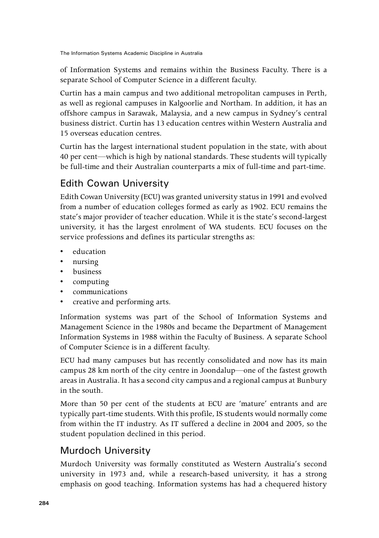of Information Systems and remains within the Business Faculty. There is a separate School of Computer Science in a different faculty.

Curtin has a main campus and two additional metropolitan campuses in Perth, as well as regional campuses in Kalgoorlie and Northam. In addition, it has an offshore campus in Sarawak, Malaysia, and a new campus in Sydney's central business district. Curtin has 13 education centres within Western Australia and 15 overseas education centres.

Curtin has the largest international student population in the state, with about 40 per cent—which is high by national standards. These students will typically be full-time and their Australian counterparts a mix of full-time and part-time.

# Edith Cowan University

Edith Cowan University (ECU) was granted university status in 1991 and evolved from a number of education colleges formed as early as 1902. ECU remains the state's major provider of teacher education. While it is the state's second-largest university, it has the largest enrolment of WA students. ECU focuses on the service professions and defines its particular strengths as:

- education
- nursing
- business
- computing
- communications
- creative and performing arts.

Information systems was part of the School of Information Systems and Management Science in the 1980s and became the Department of Management Information Systems in 1988 within the Faculty of Business. A separate School of Computer Science is in a different faculty.

ECU had many campuses but has recently consolidated and now has its main campus 28 km north of the city centre in Joondalup—one of the fastest growth areas in Australia. It has a second city campus and a regional campus at Bunbury in the south.

More than 50 per cent of the students at ECU are 'mature' entrants and are typically part-time students. With this profile, IS students would normally come from within the IT industry. As IT suffered a decline in 2004 and 2005, so the student population declined in this period.

# Murdoch University

Murdoch University was formally constituted as Western Australia's second university in 1973 and, while a research-based university, it has a strong emphasis on good teaching. Information systems has had a chequered history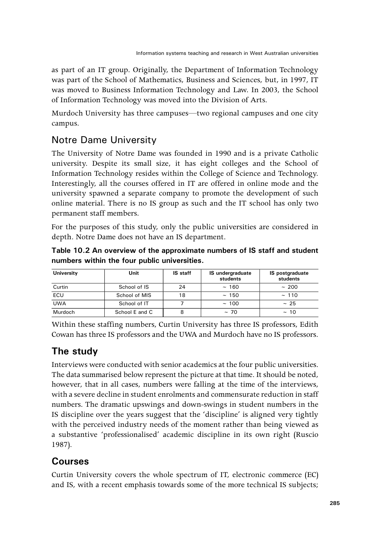as part of an IT group. Originally, the Department of Information Technology was part of the School of Mathematics, Business and Sciences, but, in 1997, IT was moved to Business Information Technology and Law. In 2003, the School of Information Technology was moved into the Division of Arts.

Murdoch University has three campuses—two regional campuses and one city campus.

# Notre Dame University

The University of Notre Dame was founded in 1990 and is a private Catholic university. Despite its small size, it has eight colleges and the School of Information Technology resides within the College of Science and Technology. Interestingly, all the courses offered in IT are offered in online mode and the university spawned a separate company to promote the development of such online material. There is no IS group as such and the IT school has only two permanent staff members.

For the purposes of this study, only the public universities are considered in depth. Notre Dame does not have an IS department.

**Table 10.2 An overview of the approximate numbers of IS staff and student numbers within the four public universities.**

| <b>University</b> | Unit           | <b>IS staff</b> | <b>IS undergraduate</b><br>students | IS postgraduate<br>students |
|-------------------|----------------|-----------------|-------------------------------------|-----------------------------|
| Curtin            | School of IS   | 24              | ~160                                | ~100                        |
| ECU               | School of MIS  | 18              | ~150                                | ~110                        |
| <b>UWA</b>        | School of IT   |                 | ~100                                | ~125                        |
| Murdoch           | School E and C | 8               | $~10^{-}$                           | ~10                         |

Within these staffing numbers, Curtin University has three IS professors, Edith Cowan has three IS professors and the UWA and Murdoch have no IS professors.

# **The study**

Interviews were conducted with senior academics at the four public universities. The data summarised below represent the picture at that time. It should be noted, however, that in all cases, numbers were falling at the time of the interviews, with a severe decline in student enrolments and commensurate reduction in staff numbers. The dramatic upswings and down-swings in student numbers in the IS discipline over the years suggest that the 'discipline' is aligned very tightly with the perceived industry needs of the moment rather than being viewed as a substantive 'professionalised' academic discipline in its own right (Ruscio 1987).

# **Courses**

Curtin University covers the whole spectrum of IT, electronic commerce (EC) and IS, with a recent emphasis towards some of the more technical IS subjects;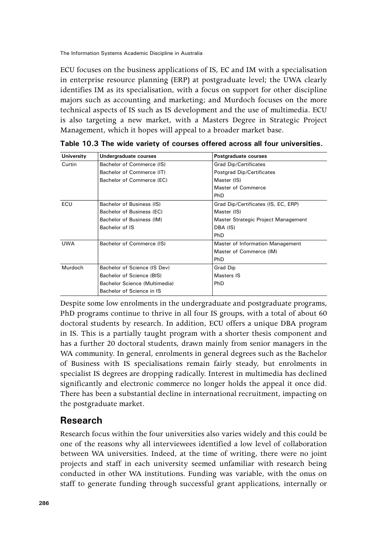ECU focuses on the business applications of IS, EC and IM with a specialisation in enterprise resource planning (ERP) at postgraduate level; the UWA clearly identifies IM as its specialisation, with a focus on support for other discipline majors such as accounting and marketing; and Murdoch focuses on the more technical aspects of IS such as IS development and the use of multimedia. ECU is also targeting a new market, with a Masters Degree in Strategic Project Management, which it hopes will appeal to a broader market base.

| <b>University</b> | Undergraduate courses         | Postgraduate courses                |
|-------------------|-------------------------------|-------------------------------------|
| Curtin            | Bachelor of Commerce (IS)     | <b>Grad Dip/Certificates</b>        |
|                   | Bachelor of Commerce (IT)     | Postgrad Dip/Certificates           |
|                   | Bachelor of Commerce (EC)     | Master (IS)                         |
|                   |                               | Master of Commerce                  |
|                   |                               | PhD                                 |
| ECU               | Bachelor of Business (IS)     | Grad Dip/Certificates (IS, EC, ERP) |
|                   | Bachelor of Business (EC)     | Master (IS)                         |
|                   | Bachelor of Business (IM)     | Master Strategic Project Management |
|                   | Bachelor of IS                | DBA (IS)                            |
|                   |                               | PhD                                 |
| <b>UWA</b>        | Bachelor of Commerce (IS)     | Master of Information Management    |
|                   |                               | Master of Commerce (IM)             |
|                   |                               | PhD                                 |
| Murdoch           | Bachelor of Science (IS Dev)  | Grad Dip                            |
|                   | Bachelor of Science (BIS)     | Masters IS                          |
|                   | Bachelor Science (Multimedia) | PhD                                 |
|                   | Bachelor of Science in IS     |                                     |

**Table 10.3 The wide variety of courses offered across all four universities.**

Despite some low enrolments in the undergraduate and postgraduate programs, PhD programs continue to thrive in all four IS groups, with a total of about 60 doctoral students by research. In addition, ECU offers a unique DBA program in IS. This is a partially taught program with a shorter thesis component and has a further 20 doctoral students, drawn mainly from senior managers in the WA community. In general, enrolments in general degrees such as the Bachelor of Business with IS specialisations remain fairly steady, but enrolments in specialist IS degrees are dropping radically. Interest in multimedia has declined significantly and electronic commerce no longer holds the appeal it once did. There has been a substantial decline in international recruitment, impacting on the postgraduate market.

#### **Research**

Research focus within the four universities also varies widely and this could be one of the reasons why all interviewees identified a low level of collaboration between WA universities. Indeed, at the time of writing, there were no joint projects and staff in each university seemed unfamiliar with research being conducted in other WA institutions. Funding was variable, with the onus on staff to generate funding through successful grant applications, internally or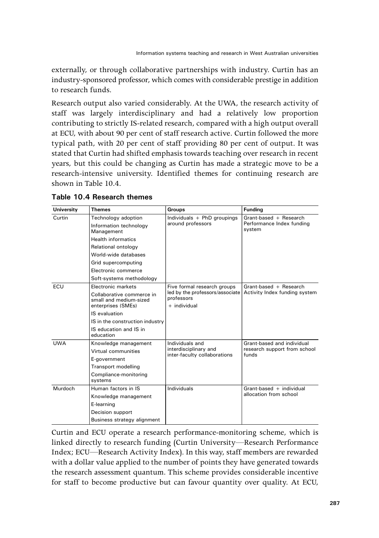externally, or through collaborative partnerships with industry. Curtin has an industry-sponsored professor, which comes with considerable prestige in addition to research funds.

Research output also varied considerably. At the UWA, the research activity of staff was largely interdisciplinary and had a relatively low proportion contributing to strictly IS-related research, compared with a high output overall at ECU, with about 90 per cent of staff research active. Curtin followed the more typical path, with 20 per cent of staff providing 80 per cent of output. It was stated that Curtin had shifted emphasis towards teaching over research in recent years, but this could be changing as Curtin has made a strategic move to be a research-intensive university. Identified themes for continuing research are shown in Table 10.4.

| <b>University</b> | <b>Themes</b>                                                                                                                                                                                                     | <b>Groups</b>                                                                                  | <b>Funding</b>                                                      |
|-------------------|-------------------------------------------------------------------------------------------------------------------------------------------------------------------------------------------------------------------|------------------------------------------------------------------------------------------------|---------------------------------------------------------------------|
| Curtin            | Technology adoption<br>Information technology<br>Management<br><b>Health informatics</b><br>Relational ontology<br>World-wide databases<br>Grid supercomputing<br>Electronic commerce<br>Soft-systems methodology | Individuals + PhD groupings<br>around professors                                               | Grant-based + Research<br>Performance Index funding<br>system       |
| ECU               | Electronic markets<br>Collaborative commerce in<br>small and medium-sized<br>enterprises (SMEs)<br>IS evaluation<br>IS in the construction industry<br>IS education and IS in<br>education                        | Five formal research groups<br>led by the professors/associate<br>professors<br>$+$ individual | Grant-based + Research<br>Activity Index funding system             |
| <b>UWA</b>        | Knowledge management<br>Virtual communities<br>E-government<br><b>Transport modelling</b><br>Compliance-monitoring<br>systems                                                                                     | Individuals and<br>interdisciplinary and<br>inter-faculty collaborations                       | Grant-based and individual<br>research support from school<br>funds |
| Murdoch           | Human factors in IS<br>Knowledge management<br>E-learning<br>Decision support<br>Business strategy alignment                                                                                                      | Individuals                                                                                    | $Grant-based + individual$<br>allocation from school                |

**Table 10.4 Research themes**

Curtin and ECU operate a research performance-monitoring scheme, which is linked directly to research funding (Curtin University—Research Performance Index; ECU—Research Activity Index). In this way, staff members are rewarded with a dollar value applied to the number of points they have generated towards the research assessment quantum. This scheme provides considerable incentive for staff to become productive but can favour quantity over quality. At ECU,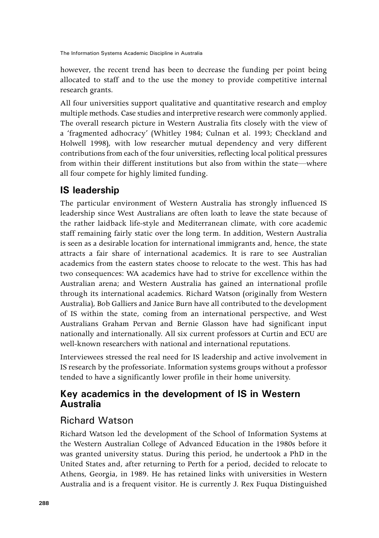however, the recent trend has been to decrease the funding per point being allocated to staff and to the use the money to provide competitive internal research grants.

All four universities support qualitative and quantitative research and employ multiple methods. Case studies and interpretive research were commonly applied. The overall research picture in Western Australia fits closely with the view of a 'fragmented adhocracy' (Whitley 1984; Culnan et al. 1993; Checkland and Holwell 1998), with low researcher mutual dependency and very different contributions from each of the four universities, reflecting local political pressures from within their different institutions but also from within the state—where all four compete for highly limited funding.

#### **IS leadership**

The particular environment of Western Australia has strongly influenced IS leadership since West Australians are often loath to leave the state because of the rather laidback life-style and Mediterranean climate, with core academic staff remaining fairly static over the long term. In addition, Western Australia is seen as a desirable location for international immigrants and, hence, the state attracts a fair share of international academics. It is rare to see Australian academics from the eastern states choose to relocate to the west. This has had two consequences: WA academics have had to strive for excellence within the Australian arena; and Western Australia has gained an international profile through its international academics. Richard Watson (originally from Western Australia), Bob Galliers and Janice Burn have all contributed to the development of IS within the state, coming from an international perspective, and West Australians Graham Pervan and Bernie Glasson have had significant input nationally and internationally. All six current professors at Curtin and ECU are well-known researchers with national and international reputations.

Interviewees stressed the real need for IS leadership and active involvement in IS research by the professoriate. Information systems groups without a professor tended to have a significantly lower profile in their home university.

#### **Key academics in the development of IS in Western Australia**

# Richard Watson

Richard Watson led the development of the School of Information Systems at the Western Australian College of Advanced Education in the 1980s before it was granted university status. During this period, he undertook a PhD in the United States and, after returning to Perth for a period, decided to relocate to Athens, Georgia, in 1989. He has retained links with universities in Western Australia and is a frequent visitor. He is currently J. Rex Fuqua Distinguished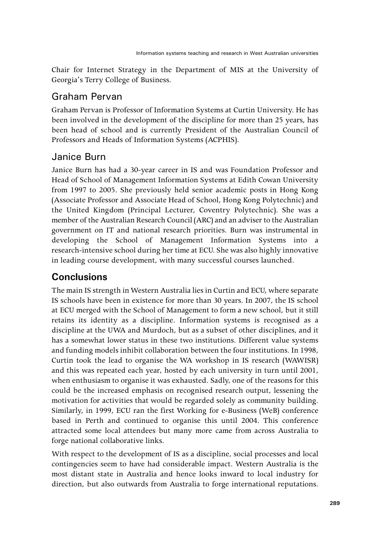Chair for Internet Strategy in the Department of MIS at the University of Georgia's Terry College of Business.

#### Graham Pervan

Graham Pervan is Professor of Information Systems at Curtin University. He has been involved in the development of the discipline for more than 25 years, has been head of school and is currently President of the Australian Council of Professors and Heads of Information Systems (ACPHIS).

# Janice Burn

Janice Burn has had a 30-year career in IS and was Foundation Professor and Head of School of Management Information Systems at Edith Cowan University from 1997 to 2005. She previously held senior academic posts in Hong Kong (Associate Professor and Associate Head of School, Hong Kong Polytechnic) and the United Kingdom (Principal Lecturer, Coventry Polytechnic). She was a member of the Australian Research Council (ARC) and an adviser to the Australian government on IT and national research priorities. Burn was instrumental in developing the School of Management Information Systems into a research-intensive school during her time at ECU. She was also highly innovative in leading course development, with many successful courses launched.

# **Conclusions**

The main IS strength in Western Australia lies in Curtin and ECU, where separate IS schools have been in existence for more than 30 years. In 2007, the IS school at ECU merged with the School of Management to form a new school, but it still retains its identity as a discipline. Information systems is recognised as a discipline at the UWA and Murdoch, but as a subset of other disciplines, and it has a somewhat lower status in these two institutions. Different value systems and funding models inhibit collaboration between the four institutions. In 1998, Curtin took the lead to organise the WA workshop in IS research (WAWISR) and this was repeated each year, hosted by each university in turn until 2001, when enthusiasm to organise it was exhausted. Sadly, one of the reasons for this could be the increased emphasis on recognised research output, lessening the motivation for activities that would be regarded solely as community building. Similarly, in 1999, ECU ran the first Working for e-Business (WeB) conference based in Perth and continued to organise this until 2004. This conference attracted some local attendees but many more came from across Australia to forge national collaborative links.

With respect to the development of IS as a discipline, social processes and local contingencies seem to have had considerable impact. Western Australia is the most distant state in Australia and hence looks inward to local industry for direction, but also outwards from Australia to forge international reputations.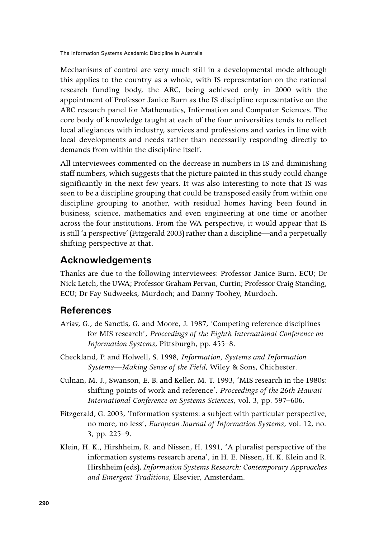Mechanisms of control are very much still in a developmental mode although this applies to the country as a whole, with IS representation on the national research funding body, the ARC, being achieved only in 2000 with the appointment of Professor Janice Burn as the IS discipline representative on the ARC research panel for Mathematics, Information and Computer Sciences. The core body of knowledge taught at each of the four universities tends to reflect local allegiances with industry, services and professions and varies in line with local developments and needs rather than necessarily responding directly to demands from within the discipline itself.

All interviewees commented on the decrease in numbers in IS and diminishing staff numbers, which suggests that the picture painted in this study could change significantly in the next few years. It was also interesting to note that IS was seen to be a discipline grouping that could be transposed easily from within one discipline grouping to another, with residual homes having been found in business, science, mathematics and even engineering at one time or another across the four institutions. From the WA perspective, it would appear that IS is still 'a perspective' (Fitzgerald 2003) rather than a discipline—and a perpetually shifting perspective at that.

#### **Acknowledgements**

Thanks are due to the following interviewees: Professor Janice Burn, ECU; Dr Nick Letch, the UWA; Professor Graham Pervan, Curtin; Professor Craig Standing, ECU; Dr Fay Sudweeks, Murdoch; and Danny Toohey, Murdoch.

# **References**

- Ariav, G., de Sanctis, G. and Moore, J. 1987, 'Competing reference disciplines for MIS research', *Proceedings of the Eighth International Conference on Information Systems*, Pittsburgh, pp. 455–8.
- Checkland, P. and Holwell, S. 1998, *Information, Systems and Information Systems—Making Sense of the Field*, Wiley & Sons, Chichester.
- Culnan, M. J., Swanson, E. B. and Keller, M. T. 1993, 'MIS research in the 1980s: shifting points of work and reference', *Proceedings of the 26th Hawaii International Conference on Systems Sciences*, vol. 3, pp. 597–606.
- Fitzgerald, G. 2003, 'Information systems: a subject with particular perspective, no more, no less', *European Journal of Information Systems*, vol. 12, no. 3, pp. 225–9.
- Klein, H. K., Hirshheim, R. and Nissen, H. 1991, 'A pluralist perspective of the information systems research arena', in H. E. Nissen, H. K. Klein and R. Hirshheim (eds), *Information Systems Research: Contemporary Approaches and Emergent Traditions*, Elsevier, Amsterdam.